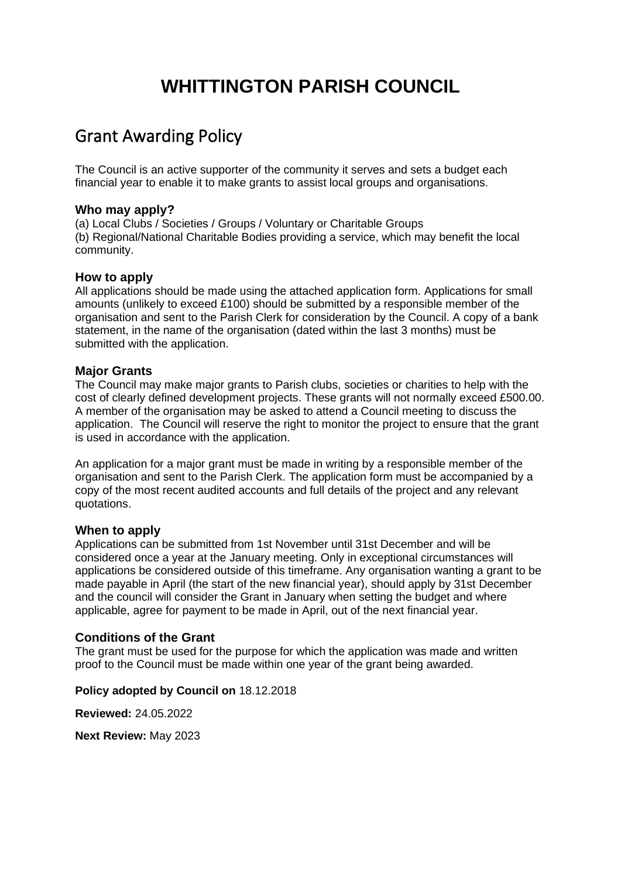# **WHITTINGTON PARISH COUNCIL**

# Grant Awarding Policy

The Council is an active supporter of the community it serves and sets a budget each financial year to enable it to make grants to assist local groups and organisations.

#### **Who may apply?**

(a) Local Clubs / Societies / Groups / Voluntary or Charitable Groups (b) Regional/National Charitable Bodies providing a service, which may benefit the local community.

#### **How to apply**

All applications should be made using the attached application form. Applications for small amounts (unlikely to exceed £100) should be submitted by a responsible member of the organisation and sent to the Parish Clerk for consideration by the Council. A copy of a bank statement, in the name of the organisation (dated within the last 3 months) must be submitted with the application.

#### **Major Grants**

The Council may make major grants to Parish clubs, societies or charities to help with the cost of clearly defined development projects. These grants will not normally exceed £500.00. A member of the organisation may be asked to attend a Council meeting to discuss the application. The Council will reserve the right to monitor the project to ensure that the grant is used in accordance with the application.

An application for a major grant must be made in writing by a responsible member of the organisation and sent to the Parish Clerk. The application form must be accompanied by a copy of the most recent audited accounts and full details of the project and any relevant quotations.

#### **When to apply**

Applications can be submitted from 1st November until 31st December and will be considered once a year at the January meeting. Only in exceptional circumstances will applications be considered outside of this timeframe. Any organisation wanting a grant to be made payable in April (the start of the new financial year), should apply by 31st December and the council will consider the Grant in January when setting the budget and where applicable, agree for payment to be made in April, out of the next financial year.

## **Conditions of the Grant**

The grant must be used for the purpose for which the application was made and written proof to the Council must be made within one year of the grant being awarded.

#### **Policy adopted by Council on** 18.12.2018

**Reviewed:** 24.05.2022

**Next Review:** May 2023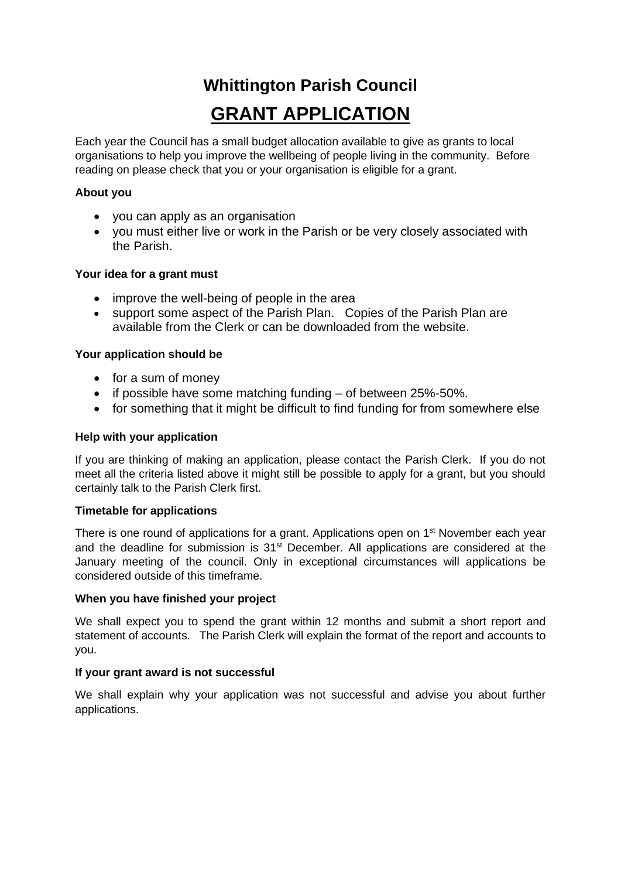# **Whittington Parish Council GRANT APPLICATION**

Each year the Council has a small budget allocation available to give as grants to local organisations to help you improve the wellbeing of people living in the community. Before reading on please check that you or your organisation is eligible for a grant.

### **About you**

- you can apply as an organisation
- you must either live or work in the Parish or be very closely associated with the Parish.

#### **Your idea for a grant must**

- improve the well-being of people in the area
- support some aspect of the Parish Plan. Copies of the Parish Plan are available from the Clerk or can be downloaded from the website.

#### **Your application should be**

- for a sum of money
- if possible have some matching funding of between 25%-50%.
- for something that it might be difficult to find funding for from somewhere else

#### **Help with your application**

If you are thinking of making an application, please contact the Parish Clerk. If you do not meet all the criteria listed above it might still be possible to apply for a grant, but you should certainly talk to the Parish Clerk first.

#### **Timetable for applications**

There is one round of applications for a grant. Applications open on 1<sup>st</sup> November each year and the deadline for submission is 31<sup>st</sup> December. All applications are considered at the January meeting of the council. Only in exceptional circumstances will applications be considered outside of this timeframe.

#### **When you have finished your project**

We shall expect you to spend the grant within 12 months and submit a short report and statement of accounts. The Parish Clerk will explain the format of the report and accounts to you.

#### **If your grant award is not successful**

We shall explain why your application was not successful and advise you about further applications.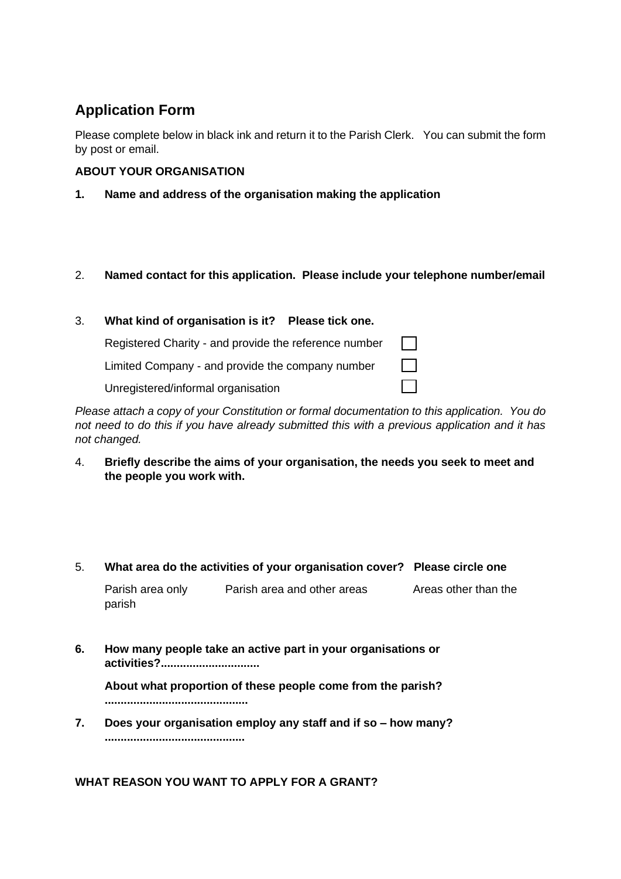# **Application Form**

Please complete below in black ink and return it to the Parish Clerk. You can submit the form by post or email.

# **ABOUT YOUR ORGANISATION**

**1. Name and address of the organisation making the application**

# 2. **Named contact for this application. Please include your telephone number/email**

#### 3. **What kind of organisation is it? Please tick one.** Registered Charity - and provide the reference number  $\sim$  1  $\overline{\phantom{0}}$ Limited Company - and provide the company number Unregistered/informal organisation

*Please attach a copy of your Constitution or formal documentation to this application. You do not need to do this if you have already submitted this with a previous application and it has not changed.*

4. **Briefly describe the aims of your organisation, the needs you seek to meet and the people you work with.**

## 5. **What area do the activities of your organisation cover? Please circle one**

Parish area only Parish area and other areas Areas other than the parish

**6. How many people take an active part in your organisations or activities?...............................**

**About what proportion of these people come from the parish? .............................................**

**7. Does your organisation employ any staff and if so – how many? ............................................**

**WHAT REASON YOU WANT TO APPLY FOR A GRANT?**